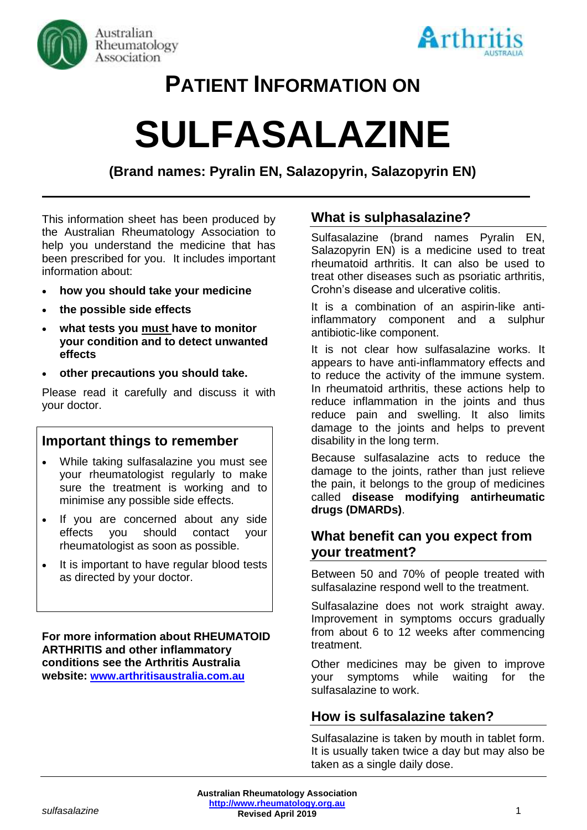



# **PATIENT INFORMATION ON**

# **SULFASALAZINE**

**(Brand names: Pyralin EN, Salazopyrin, Salazopyrin EN)**

This information sheet has been produced by the Australian Rheumatology Association to help you understand the medicine that has been prescribed for you. It includes important information about:

- **how you should take your medicine**
- **the possible side effects**
- **what tests you must have to monitor your condition and to detect unwanted effects**
- **other precautions you should take.**

Please read it carefully and discuss it with your doctor.

#### **Important things to remember**

- While taking sulfasalazine you must see your rheumatologist regularly to make sure the treatment is working and to minimise any possible side effects.
- If you are concerned about any side effects you should contact your rheumatologist as soon as possible.
- It is important to have regular blood tests as directed by your doctor.

**For more information about RHEUMATOID ARTHRITIS and other inflammatory conditions see the Arthritis Australia website: [www.arthritisaustralia.com.au](http://www.arthritisaustralia.com.au/)**

# **What is sulphasalazine?**

Sulfasalazine (brand names Pyralin EN, Salazopyrin EN) is a medicine used to treat rheumatoid arthritis. It can also be used to treat other diseases such as psoriatic arthritis, Crohn's disease and ulcerative colitis.

It is a combination of an aspirin-like antiinflammatory component and a sulphur antibiotic-like component.

It is not clear how sulfasalazine works. It appears to have anti-inflammatory effects and to reduce the activity of the immune system. In rheumatoid arthritis, these actions help to reduce inflammation in the joints and thus reduce pain and swelling. It also limits damage to the joints and helps to prevent disability in the long term.

Because sulfasalazine acts to reduce the damage to the joints, rather than just relieve the pain, it belongs to the group of medicines called **disease modifying antirheumatic drugs (DMARDs)**.

# **What benefit can you expect from your treatment?**

Between 50 and 70% of people treated with sulfasalazine respond well to the treatment.

Sulfasalazine does not work straight away. Improvement in symptoms occurs gradually from about 6 to 12 weeks after commencing treatment.

Other medicines may be given to improve your symptoms while waiting for the sulfasalazine to work.

#### **How is sulfasalazine taken?**

Sulfasalazine is taken by mouth in tablet form. It is usually taken twice a day but may also be taken as a single daily dose.

*sulfasalazine* 1 **Revised April 2019 Australian Rheumatology Association [http://www.rheumatology.org.au](http://www.rheumatology.org.au/)**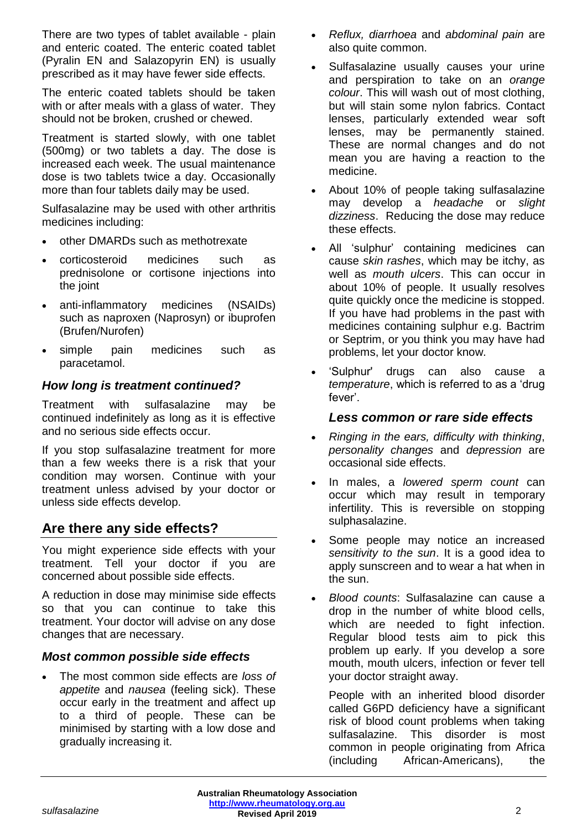There are two types of tablet available - plain and enteric coated. The enteric coated tablet (Pyralin EN and Salazopyrin EN) is usually prescribed as it may have fewer side effects.

The enteric coated tablets should be taken with or after meals with a glass of water. They should not be broken, crushed or chewed.

Treatment is started slowly, with one tablet (500mg) or two tablets a day. The dose is increased each week. The usual maintenance dose is two tablets twice a day. Occasionally more than four tablets daily may be used.

Sulfasalazine may be used with other arthritis medicines including:

- other DMARDs such as methotrexate
- corticosteroid medicines such as prednisolone or cortisone injections into the joint
- anti-inflammatory medicines (NSAIDs) such as naproxen (Naprosyn) or ibuprofen (Brufen/Nurofen)
- simple pain medicines such as paracetamol.

#### *How long is treatment continued?*

Treatment with sulfasalazine may be continued indefinitely as long as it is effective and no serious side effects occur.

If you stop sulfasalazine treatment for more than a few weeks there is a risk that your condition may worsen. Continue with your treatment unless advised by your doctor or unless side effects develop.

# **Are there any side effects?**

You might experience side effects with your treatment. Tell your doctor if you are concerned about possible side effects.

A reduction in dose may minimise side effects so that you can continue to take this treatment. Your doctor will advise on any dose changes that are necessary.

#### *Most common possible side effects*

• The most common side effects are *loss of appetite* and *nausea* (feeling sick). These occur early in the treatment and affect up to a third of people. These can be minimised by starting with a low dose and gradually increasing it.

- *Reflux, diarrhoea* and *abdominal pain* are also quite common.
- Sulfasalazine usually causes your urine and perspiration to take on an *orange colour*. This will wash out of most clothing, but will stain some nylon fabrics. Contact lenses, particularly extended wear soft lenses, may be permanently stained. These are normal changes and do not mean you are having a reaction to the medicine.
- About 10% of people taking sulfasalazine may develop a *headache* or *slight dizziness*. Reducing the dose may reduce these effects.
- All 'sulphur' containing medicines can cause *skin rashes*, which may be itchy, as well as *mouth ulcers*. This can occur in about 10% of people. It usually resolves quite quickly once the medicine is stopped. If you have had problems in the past with medicines containing sulphur e.g. Bactrim or Septrim, or you think you may have had problems, let your doctor know.
- 'Sulphur' drugs can also cause a *temperature*, which is referred to as a 'drug fever'.

### *Less common or rare side effects*

- *Ringing in the ears, difficulty with thinking*, *personality changes* and *depression* are occasional side effects.
- In males, a *lowered sperm count* can occur which may result in temporary infertility. This is reversible on stopping sulphasalazine.
- Some people may notice an increased *sensitivity to the sun*. It is a good idea to apply sunscreen and to wear a hat when in the sun.
- *Blood counts*: Sulfasalazine can cause a drop in the number of white blood cells, which are needed to fight infection. Regular blood tests aim to pick this problem up early. If you develop a sore mouth, mouth ulcers, infection or fever tell your doctor straight away.

People with an inherited blood disorder called G6PD deficiency have a significant risk of blood count problems when taking sulfasalazine. This disorder is most common in people originating from Africa (including African-Americans), the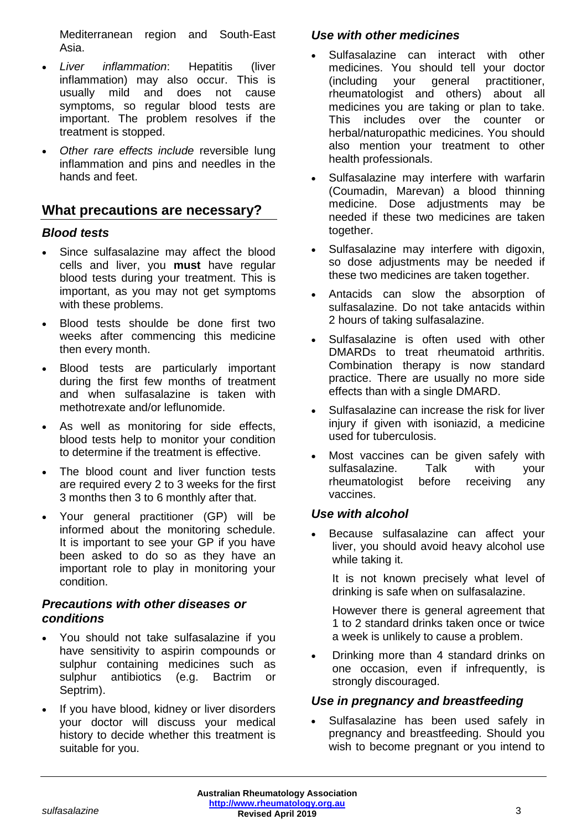Mediterranean region and South-East Asia.

- *Liver inflammation*: Hepatitis (liver inflammation) may also occur. This is usually mild and does not cause symptoms, so regular blood tests are important. The problem resolves if the treatment is stopped.
- *Other rare effects include* reversible lung inflammation and pins and needles in the hands and feet.

# **What precautions are necessary?**

#### *Blood tests*

- Since sulfasalazine may affect the blood cells and liver, you **must** have regular blood tests during your treatment. This is important, as you may not get symptoms with these problems.
- Blood tests shoulde be done first two weeks after commencing this medicine then every month.
- Blood tests are particularly important during the first few months of treatment and when sulfasalazine is taken with methotrexate and/or leflunomide.
- As well as monitoring for side effects, blood tests help to monitor your condition to determine if the treatment is effective.
- The blood count and liver function tests are required every 2 to 3 weeks for the first 3 months then 3 to 6 monthly after that.
- Your general practitioner (GP) will be informed about the monitoring schedule. It is important to see your GP if you have been asked to do so as they have an important role to play in monitoring your condition.

#### *Precautions with other diseases or conditions*

- You should not take sulfasalazine if you have sensitivity to aspirin compounds or sulphur containing medicines such as sulphur antibiotics (e.g. Bactrim or Septrim).
- If you have blood, kidney or liver disorders your doctor will discuss your medical history to decide whether this treatment is suitable for you.

#### *Use with other medicines*

- Sulfasalazine can interact with other medicines. You should tell your doctor (including your general practitioner, rheumatologist and others) about all medicines you are taking or plan to take. This includes over the counter or herbal/naturopathic medicines. You should also mention your treatment to other health professionals.
- Sulfasalazine may interfere with warfarin (Coumadin, Marevan) a blood thinning medicine. Dose adjustments may be needed if these two medicines are taken together.
- Sulfasalazine may interfere with digoxin, so dose adjustments may be needed if these two medicines are taken together.
- Antacids can slow the absorption of sulfasalazine. Do not take antacids within 2 hours of taking sulfasalazine.
- Sulfasalazine is often used with other DMARDs to treat rheumatoid arthritis. Combination therapy is now standard practice. There are usually no more side effects than with a single DMARD.
- Sulfasalazine can increase the risk for liver injury if given with isoniazid, a medicine used for tuberculosis.
- Most vaccines can be given safely with sulfasalazine. Talk with your rheumatologist before receiving any vaccines.

#### *Use with alcohol*

- Because sulfasalazine can affect your liver, you should avoid heavy alcohol use while taking it.
	- It is not known precisely what level of drinking is safe when on sulfasalazine.

However there is general agreement that 1 to 2 standard drinks taken once or twice a week is unlikely to cause a problem.

• Drinking more than 4 standard drinks on one occasion, even if infrequently, is strongly discouraged.

#### *Use in pregnancy and breastfeeding*

• Sulfasalazine has been used safely in pregnancy and breastfeeding. Should you wish to become pregnant or you intend to